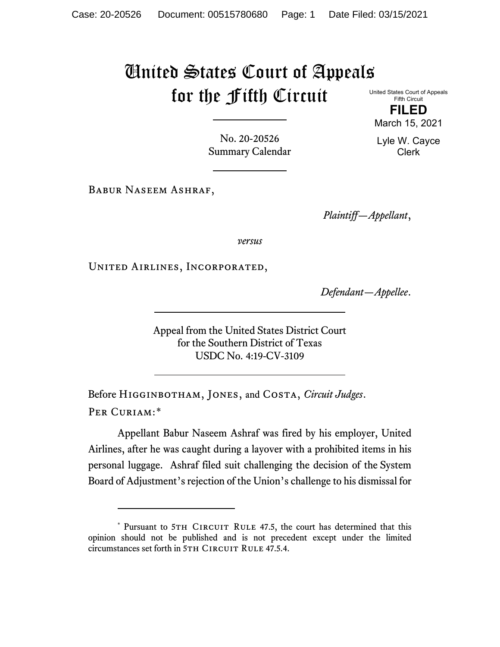## United States Court of Appeals for the Fifth Circuit United States Court of Appeals

Fifth Circuit **FILED**

No. 20-20526 Summary Calendar

Babur Naseem Ashraf,

*Plaintiff—Appellant*,

*versus*

United Airlines, Incorporated,

*Defendant—Appellee*.

Appeal from the United States District Court for the Southern District of Texas USDC No. 4:19-CV-3109

Before Higginbotham, Jones, and Costa, *Circuit Judges*. Per Curiam:[\\*](#page-0-0)

Appellant Babur Naseem Ashraf was fired by his employer, United Airlines, after he was caught during a layover with a prohibited items in his personal luggage. Ashraf filed suit challenging the decision of the System Board of Adjustment's rejection of the Union's challenge to his dismissal for

March 15, 2021 Lyle W. Cayce Clerk

<span id="page-0-0"></span><sup>\*</sup> Pursuant to 5TH CIRCUIT RULE 47.5, the court has determined that this opinion should not be published and is not precedent except under the limited circumstances set forth in 5TH CIRCUIT RULE 47.5.4.